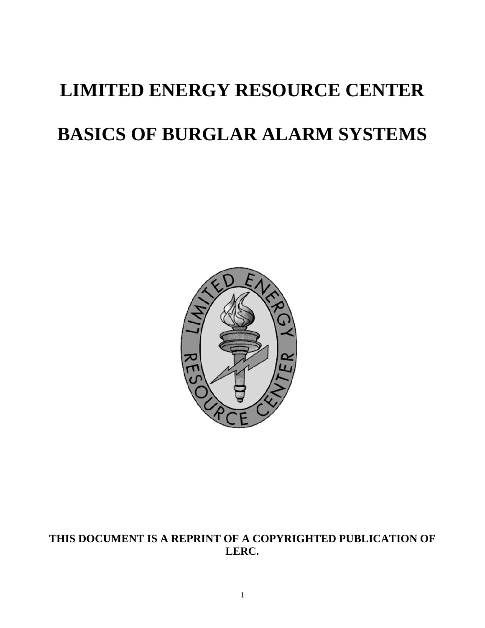# **LIMITED ENERGY RESOURCE CENTER BASICS OF BURGLAR ALARM SYSTEMS**



# **THIS DOCUMENT IS A REPRINT OF A COPYRIGHTED PUBLICATION OF LERC.**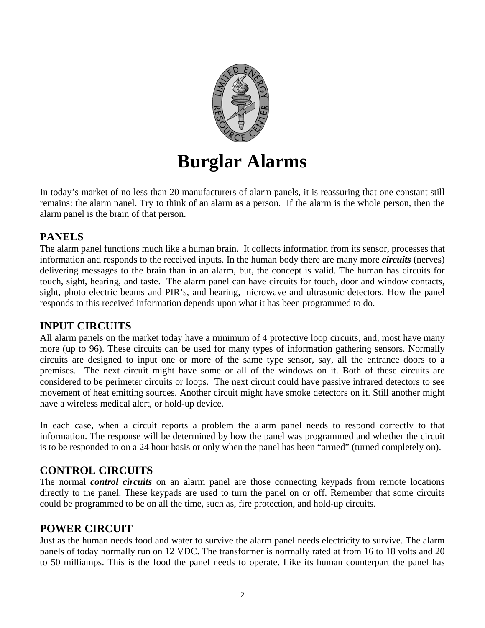

# **Burglar Alarms**

In today's market of no less than 20 manufacturers of alarm panels, it is reassuring that one constant still remains: the alarm panel. Try to think of an alarm as a person. If the alarm is the whole person, then the alarm panel is the brain of that person.

# **PANELS**

The alarm panel functions much like a human brain. It collects information from its sensor, processes that information and responds to the received inputs. In the human body there are many more *circuits* (nerves) delivering messages to the brain than in an alarm, but, the concept is valid. The human has circuits for touch, sight, hearing, and taste. The alarm panel can have circuits for touch, door and window contacts, sight, photo electric beams and PIR's, and hearing, microwave and ultrasonic detectors. How the panel responds to this received information depends upon what it has been programmed to do.

# **INPUT CIRCUITS**

All alarm panels on the market today have a minimum of 4 protective loop circuits, and, most have many more (up to 96). These circuits can be used for many types of information gathering sensors. Normally circuits are designed to input one or more of the same type sensor, say, all the entrance doors to a premises. The next circuit might have some or all of the windows on it. Both of these circuits are considered to be perimeter circuits or loops. The next circuit could have passive infrared detectors to see movement of heat emitting sources. Another circuit might have smoke detectors on it. Still another might have a wireless medical alert, or hold-up device.

In each case, when a circuit reports a problem the alarm panel needs to respond correctly to that information. The response will be determined by how the panel was programmed and whether the circuit is to be responded to on a 24 hour basis or only when the panel has been "armed" (turned completely on).

# **CONTROL CIRCUITS**

The normal *control circuits* on an alarm panel are those connecting keypads from remote locations directly to the panel. These keypads are used to turn the panel on or off. Remember that some circuits could be programmed to be on all the time, such as, fire protection, and hold-up circuits.

# **POWER CIRCUIT**

Just as the human needs food and water to survive the alarm panel needs electricity to survive. The alarm panels of today normally run on 12 VDC. The transformer is normally rated at from 16 to 18 volts and 20 to 50 milliamps. This is the food the panel needs to operate. Like its human counterpart the panel has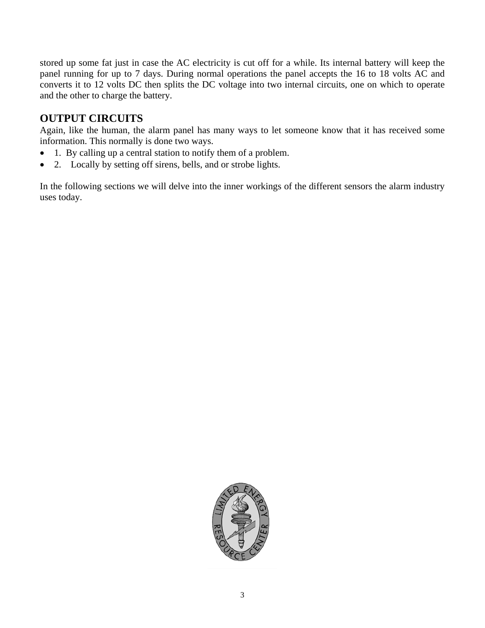stored up some fat just in case the AC electricity is cut off for a while. Its internal battery will keep the panel running for up to 7 days. During normal operations the panel accepts the 16 to 18 volts AC and converts it to 12 volts DC then splits the DC voltage into two internal circuits, one on which to operate and the other to charge the battery.

# **OUTPUT CIRCUITS**

Again, like the human, the alarm panel has many ways to let someone know that it has received some information. This normally is done two ways.

- 1. By calling up a central station to notify them of a problem.
- 2. Locally by setting off sirens, bells, and or strobe lights.

In the following sections we will delve into the inner workings of the different sensors the alarm industry uses today.

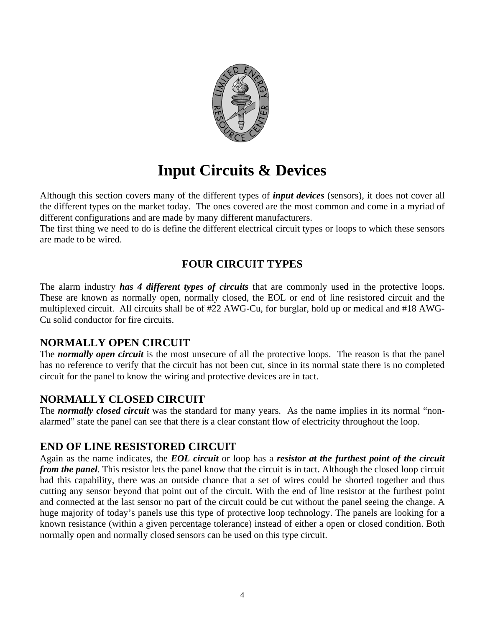

# **Input Circuits & Devices**

Although this section covers many of the different types of *input devices* (sensors), it does not cover all the different types on the market today. The ones covered are the most common and come in a myriad of different configurations and are made by many different manufacturers.

The first thing we need to do is define the different electrical circuit types or loops to which these sensors are made to be wired.

# **FOUR CIRCUIT TYPES**

The alarm industry *has 4 different types of circuits* that are commonly used in the protective loops. These are known as normally open, normally closed, the EOL or end of line resistored circuit and the multiplexed circuit. All circuits shall be of #22 AWG-Cu, for burglar, hold up or medical and #18 AWG-Cu solid conductor for fire circuits.

### **NORMALLY OPEN CIRCUIT**

The *normally open circuit* is the most unsecure of all the protective loops. The reason is that the panel has no reference to verify that the circuit has not been cut, since in its normal state there is no completed circuit for the panel to know the wiring and protective devices are in tact.

# **NORMALLY CLOSED CIRCUIT**

The *normally closed circuit* was the standard for many years. As the name implies in its normal "nonalarmed" state the panel can see that there is a clear constant flow of electricity throughout the loop.

# **END OF LINE RESISTORED CIRCUIT**

Again as the name indicates, the *EOL circuit* or loop has a *resistor at the furthest point of the circuit from the panel*. This resistor lets the panel know that the circuit is in tact. Although the closed loop circuit had this capability, there was an outside chance that a set of wires could be shorted together and thus cutting any sensor beyond that point out of the circuit. With the end of line resistor at the furthest point and connected at the last sensor no part of the circuit could be cut without the panel seeing the change. A huge majority of today's panels use this type of protective loop technology. The panels are looking for a known resistance (within a given percentage tolerance) instead of either a open or closed condition. Both normally open and normally closed sensors can be used on this type circuit.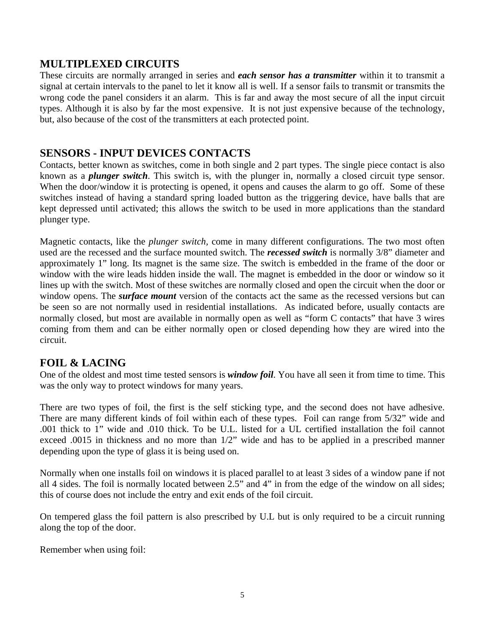# **MULTIPLEXED CIRCUITS**

These circuits are normally arranged in series and *each sensor has a transmitter* within it to transmit a signal at certain intervals to the panel to let it know all is well. If a sensor fails to transmit or transmits the wrong code the panel considers it an alarm. This is far and away the most secure of all the input circuit types. Although it is also by far the most expensive. It is not just expensive because of the technology, but, also because of the cost of the transmitters at each protected point.

# **SENSORS - INPUT DEVICES CONTACTS**

Contacts, better known as switches, come in both single and 2 part types. The single piece contact is also known as a *plunger switch*. This switch is, with the plunger in, normally a closed circuit type sensor. When the door/window it is protecting is opened, it opens and causes the alarm to go off. Some of these switches instead of having a standard spring loaded button as the triggering device, have balls that are kept depressed until activated; this allows the switch to be used in more applications than the standard plunger type.

Magnetic contacts, like the *plunger switch,* come in many different configurations. The two most often used are the recessed and the surface mounted switch. The *recessed switch* is normally 3/8" diameter and approximately 1" long. Its magnet is the same size. The switch is embedded in the frame of the door or window with the wire leads hidden inside the wall. The magnet is embedded in the door or window so it lines up with the switch. Most of these switches are normally closed and open the circuit when the door or window opens. The *surface mount* version of the contacts act the same as the recessed versions but can be seen so are not normally used in residential installations. As indicated before, usually contacts are normally closed, but most are available in normally open as well as "form C contacts" that have 3 wires coming from them and can be either normally open or closed depending how they are wired into the circuit.

# **FOIL & LACING**

One of the oldest and most time tested sensors is *window foil*. You have all seen it from time to time. This was the only way to protect windows for many years.

There are two types of foil, the first is the self sticking type, and the second does not have adhesive. There are many different kinds of foil within each of these types. Foil can range from 5/32" wide and .001 thick to 1" wide and .010 thick. To be U.L. listed for a UL certified installation the foil cannot exceed .0015 in thickness and no more than 1/2" wide and has to be applied in a prescribed manner depending upon the type of glass it is being used on.

Normally when one installs foil on windows it is placed parallel to at least 3 sides of a window pane if not all 4 sides. The foil is normally located between 2.5" and 4" in from the edge of the window on all sides; this of course does not include the entry and exit ends of the foil circuit.

On tempered glass the foil pattern is also prescribed by U.L but is only required to be a circuit running along the top of the door.

Remember when using foil: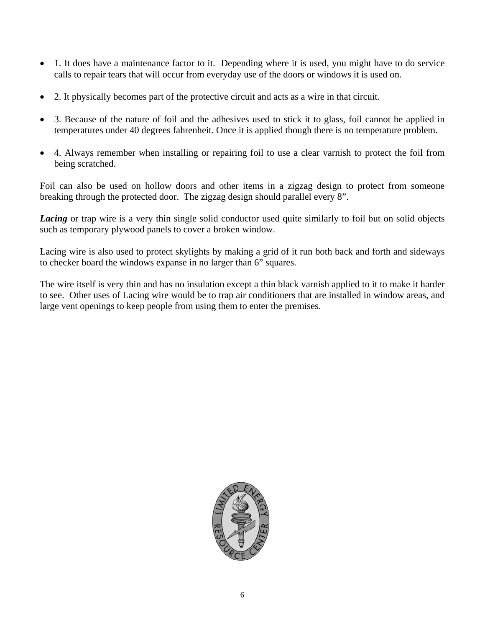- 1. It does have a maintenance factor to it. Depending where it is used, you might have to do service calls to repair tears that will occur from everyday use of the doors or windows it is used on.
- 2. It physically becomes part of the protective circuit and acts as a wire in that circuit.
- 3. Because of the nature of foil and the adhesives used to stick it to glass, foil cannot be applied in temperatures under 40 degrees fahrenheit. Once it is applied though there is no temperature problem.
- 4. Always remember when installing or repairing foil to use a clear varnish to protect the foil from being scratched.

Foil can also be used on hollow doors and other items in a zigzag design to protect from someone breaking through the protected door. The zigzag design should parallel every 8".

*Lacing* or trap wire is a very thin single solid conductor used quite similarly to foil but on solid objects such as temporary plywood panels to cover a broken window.

Lacing wire is also used to protect skylights by making a grid of it run both back and forth and sideways to checker board the windows expanse in no larger than 6" squares.

The wire itself is very thin and has no insulation except a thin black varnish applied to it to make it harder to see. Other uses of Lacing wire would be to trap air conditioners that are installed in window areas, and large vent openings to keep people from using them to enter the premises.

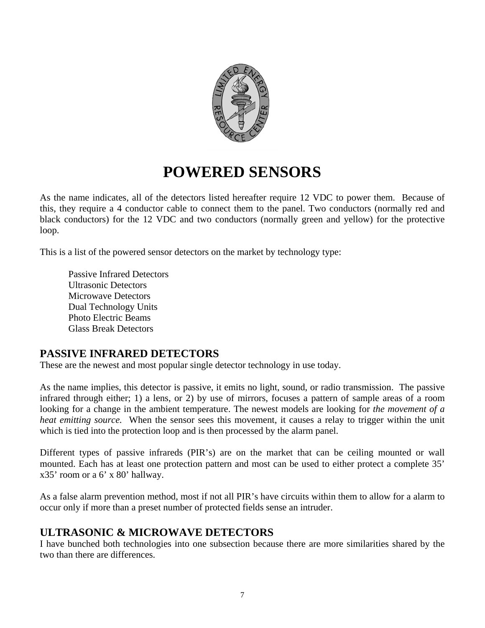

# **POWERED SENSORS**

As the name indicates, all of the detectors listed hereafter require 12 VDC to power them. Because of this, they require a 4 conductor cable to connect them to the panel. Two conductors (normally red and black conductors) for the 12 VDC and two conductors (normally green and yellow) for the protective loop.

This is a list of the powered sensor detectors on the market by technology type:

 Passive Infrared Detectors Ultrasonic Detectors Microwave Detectors Dual Technology Units Photo Electric Beams Glass Break Detectors

# **PASSIVE INFRARED DETECTORS**

These are the newest and most popular single detector technology in use today.

As the name implies, this detector is passive, it emits no light, sound, or radio transmission. The passive infrared through either; 1) a lens, or 2) by use of mirrors, focuses a pattern of sample areas of a room looking for a change in the ambient temperature. The newest models are looking for *the movement of a heat emitting source.* When the sensor sees this movement, it causes a relay to trigger within the unit which is tied into the protection loop and is then processed by the alarm panel.

Different types of passive infrareds (PIR's) are on the market that can be ceiling mounted or wall mounted. Each has at least one protection pattern and most can be used to either protect a complete 35' x35' room or a 6' x 80' hallway.

As a false alarm prevention method, most if not all PIR's have circuits within them to allow for a alarm to occur only if more than a preset number of protected fields sense an intruder.

# **ULTRASONIC & MICROWAVE DETECTORS**

I have bunched both technologies into one subsection because there are more similarities shared by the two than there are differences.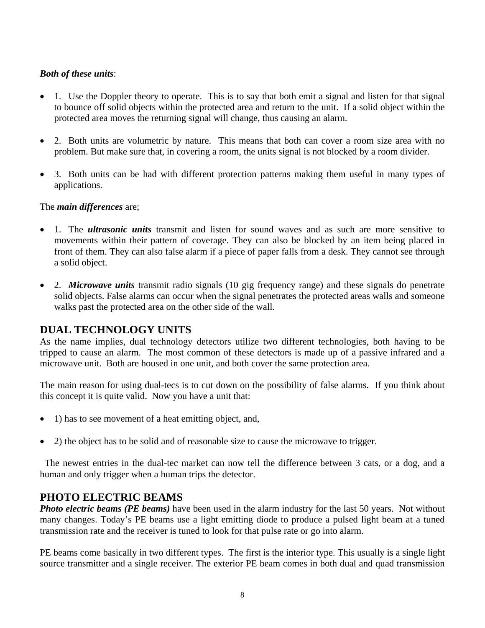### *Both of these units*:

- 1. Use the Doppler theory to operate. This is to say that both emit a signal and listen for that signal to bounce off solid objects within the protected area and return to the unit. If a solid object within the protected area moves the returning signal will change, thus causing an alarm.
- 2. Both units are volumetric by nature. This means that both can cover a room size area with no problem. But make sure that, in covering a room, the units signal is not blocked by a room divider.
- 3. Both units can be had with different protection patterns making them useful in many types of applications.

### The *main differences* are;

- 1. The *ultrasonic units* transmit and listen for sound waves and as such are more sensitive to movements within their pattern of coverage. They can also be blocked by an item being placed in front of them. They can also false alarm if a piece of paper falls from a desk. They cannot see through a solid object.
- 2. *Microwave units* transmit radio signals (10 gig frequency range) and these signals do penetrate solid objects. False alarms can occur when the signal penetrates the protected areas walls and someone walks past the protected area on the other side of the wall.

# **DUAL TECHNOLOGY UNITS**

As the name implies, dual technology detectors utilize two different technologies, both having to be tripped to cause an alarm. The most common of these detectors is made up of a passive infrared and a microwave unit. Both are housed in one unit, and both cover the same protection area.

The main reason for using dual-tecs is to cut down on the possibility of false alarms. If you think about this concept it is quite valid. Now you have a unit that:

- 1) has to see movement of a heat emitting object, and,
- 2) the object has to be solid and of reasonable size to cause the microwave to trigger.

 The newest entries in the dual-tec market can now tell the difference between 3 cats, or a dog, and a human and only trigger when a human trips the detector.

# **PHOTO ELECTRIC BEAMS**

*Photo electric beams (PE beams)* have been used in the alarm industry for the last 50 years. Not without many changes. Today's PE beams use a light emitting diode to produce a pulsed light beam at a tuned transmission rate and the receiver is tuned to look for that pulse rate or go into alarm.

PE beams come basically in two different types. The first is the interior type. This usually is a single light source transmitter and a single receiver. The exterior PE beam comes in both dual and quad transmission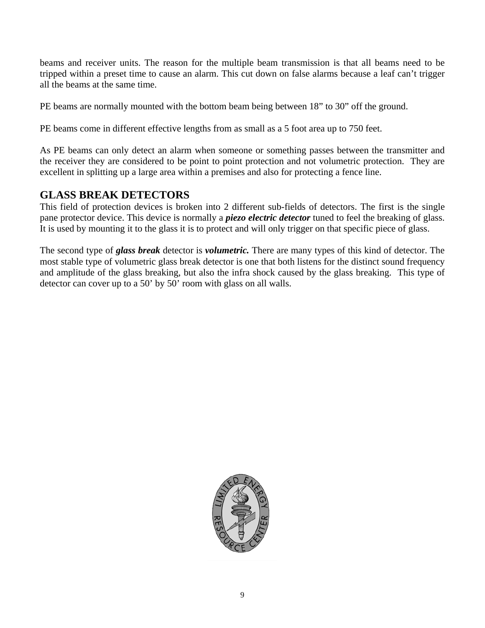beams and receiver units. The reason for the multiple beam transmission is that all beams need to be tripped within a preset time to cause an alarm. This cut down on false alarms because a leaf can't trigger all the beams at the same time.

PE beams are normally mounted with the bottom beam being between 18" to 30" off the ground.

PE beams come in different effective lengths from as small as a 5 foot area up to 750 feet.

As PE beams can only detect an alarm when someone or something passes between the transmitter and the receiver they are considered to be point to point protection and not volumetric protection. They are excellent in splitting up a large area within a premises and also for protecting a fence line.

# **GLASS BREAK DETECTORS**

This field of protection devices is broken into 2 different sub-fields of detectors. The first is the single pane protector device. This device is normally a *piezo electric detector* tuned to feel the breaking of glass. It is used by mounting it to the glass it is to protect and will only trigger on that specific piece of glass.

The second type of *glass break* detector is *volumetric.* There are many types of this kind of detector. The most stable type of volumetric glass break detector is one that both listens for the distinct sound frequency and amplitude of the glass breaking, but also the infra shock caused by the glass breaking. This type of detector can cover up to a 50' by 50' room with glass on all walls.

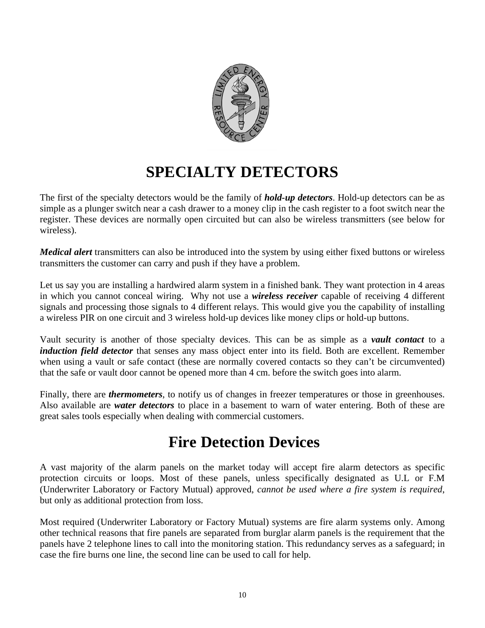

# **SPECIALTY DETECTORS**

The first of the specialty detectors would be the family of *hold-up detectors*. Hold-up detectors can be as simple as a plunger switch near a cash drawer to a money clip in the cash register to a foot switch near the register. These devices are normally open circuited but can also be wireless transmitters (see below for wireless).

*Medical alert* transmitters can also be introduced into the system by using either fixed buttons or wireless transmitters the customer can carry and push if they have a problem.

Let us say you are installing a hardwired alarm system in a finished bank. They want protection in 4 areas in which you cannot conceal wiring. Why not use a *wireless receiver* capable of receiving 4 different signals and processing those signals to 4 different relays. This would give you the capability of installing a wireless PIR on one circuit and 3 wireless hold-up devices like money clips or hold-up buttons.

Vault security is another of those specialty devices. This can be as simple as a *vault contact* to a *induction field detector* that senses any mass object enter into its field. Both are excellent. Remember when using a vault or safe contact (these are normally covered contacts so they can't be circumvented) that the safe or vault door cannot be opened more than 4 cm. before the switch goes into alarm.

Finally, there are *thermometers*, to notify us of changes in freezer temperatures or those in greenhouses. Also available are *water detectors* to place in a basement to warn of water entering. Both of these are great sales tools especially when dealing with commercial customers.

# **Fire Detection Devices**

A vast majority of the alarm panels on the market today will accept fire alarm detectors as specific protection circuits or loops. Most of these panels, unless specifically designated as U.L or F.M (Underwriter Laboratory or Factory Mutual) approved, *cannot be used where a fire system is required*, but only as additional protection from loss.

Most required (Underwriter Laboratory or Factory Mutual) systems are fire alarm systems only. Among other technical reasons that fire panels are separated from burglar alarm panels is the requirement that the panels have 2 telephone lines to call into the monitoring station. This redundancy serves as a safeguard; in case the fire burns one line, the second line can be used to call for help.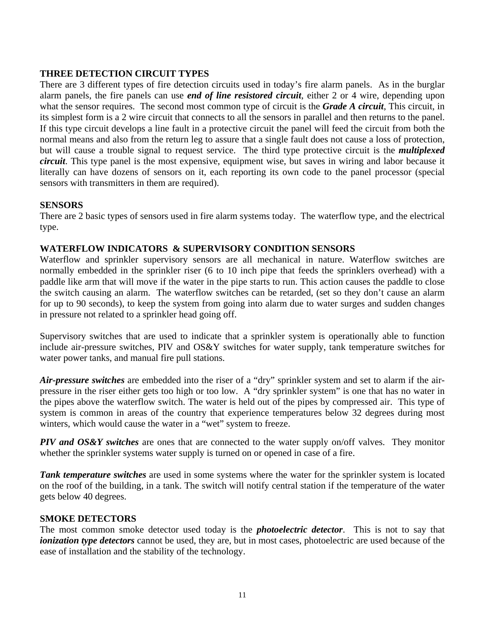### **THREE DETECTION CIRCUIT TYPES**

There are 3 different types of fire detection circuits used in today's fire alarm panels. As in the burglar alarm panels, the fire panels can use *end of line resistored circuit*, either 2 or 4 wire, depending upon what the sensor requires. The second most common type of circuit is the *Grade A circuit*, This circuit, in its simplest form is a 2 wire circuit that connects to all the sensors in parallel and then returns to the panel. If this type circuit develops a line fault in a protective circuit the panel will feed the circuit from both the normal means and also from the return leg to assure that a single fault does not cause a loss of protection, but will cause a trouble signal to request service. The third type protective circuit is the *multiplexed circuit*. This type panel is the most expensive, equipment wise, but saves in wiring and labor because it literally can have dozens of sensors on it, each reporting its own code to the panel processor (special sensors with transmitters in them are required).

#### **SENSORS**

There are 2 basic types of sensors used in fire alarm systems today. The waterflow type, and the electrical type.

#### **WATERFLOW INDICATORS & SUPERVISORY CONDITION SENSORS**

Waterflow and sprinkler supervisory sensors are all mechanical in nature. Waterflow switches are normally embedded in the sprinkler riser (6 to 10 inch pipe that feeds the sprinklers overhead) with a paddle like arm that will move if the water in the pipe starts to run. This action causes the paddle to close the switch causing an alarm. The waterflow switches can be retarded, (set so they don't cause an alarm for up to 90 seconds), to keep the system from going into alarm due to water surges and sudden changes in pressure not related to a sprinkler head going off.

Supervisory switches that are used to indicate that a sprinkler system is operationally able to function include air-pressure switches, PIV and OS&Y switches for water supply, tank temperature switches for water power tanks, and manual fire pull stations.

*Air-pressure switches* are embedded into the riser of a "dry" sprinkler system and set to alarm if the airpressure in the riser either gets too high or too low. A "dry sprinkler system" is one that has no water in the pipes above the waterflow switch. The water is held out of the pipes by compressed air. This type of system is common in areas of the country that experience temperatures below 32 degrees during most winters, which would cause the water in a "wet" system to freeze.

*PIV and OS&Y switches* are ones that are connected to the water supply on/off valves. They monitor whether the sprinkler systems water supply is turned on or opened in case of a fire.

*Tank temperature switches* are used in some systems where the water for the sprinkler system is located on the roof of the building, in a tank. The switch will notify central station if the temperature of the water gets below 40 degrees.

#### **SMOKE DETECTORS**

The most common smoke detector used today is the *photoelectric detector*. This is not to say that *ionization type detectors* cannot be used, they are, but in most cases, photoelectric are used because of the ease of installation and the stability of the technology.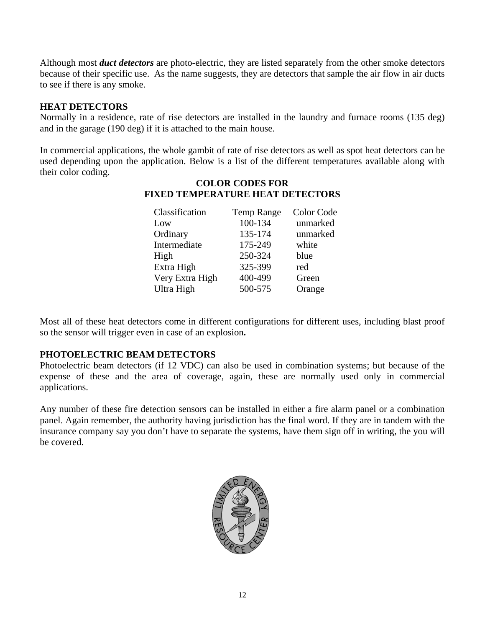Although most *duct detectors* are photo-electric, they are listed separately from the other smoke detectors because of their specific use. As the name suggests, they are detectors that sample the air flow in air ducts to see if there is any smoke.

### **HEAT DETECTORS**

Normally in a residence, rate of rise detectors are installed in the laundry and furnace rooms (135 deg) and in the garage (190 deg) if it is attached to the main house.

In commercial applications, the whole gambit of rate of rise detectors as well as spot heat detectors can be used depending upon the application. Below is a list of the different temperatures available along with their color coding.

### **COLOR CODES FOR FIXED TEMPERATURE HEAT DETECTORS**

| Classification  | <b>Temp Range</b> | Color Code |
|-----------------|-------------------|------------|
| Low             | 100-134           | unmarked   |
| Ordinary        | 135-174           | unmarked   |
| Intermediate    | 175-249           | white      |
| High            | 250-324           | blue       |
| Extra High      | 325-399           | red        |
| Very Extra High | 400-499           | Green      |
| Ultra High      | 500-575           | Orange     |

Most all of these heat detectors come in different configurations for different uses, including blast proof so the sensor will trigger even in case of an explosion**.** 

### **PHOTOELECTRIC BEAM DETECTORS**

Photoelectric beam detectors (if 12 VDC) can also be used in combination systems; but because of the expense of these and the area of coverage, again, these are normally used only in commercial applications.

Any number of these fire detection sensors can be installed in either a fire alarm panel or a combination panel. Again remember, the authority having jurisdiction has the final word. If they are in tandem with the insurance company say you don't have to separate the systems, have them sign off in writing, the you will be covered.

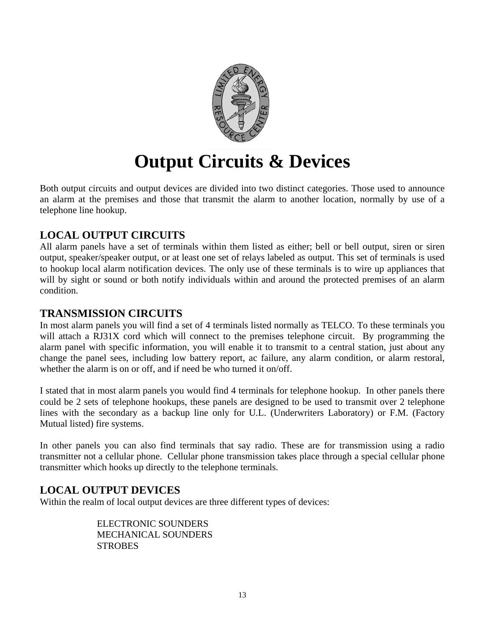

# **Output Circuits & Devices**

Both output circuits and output devices are divided into two distinct categories. Those used to announce an alarm at the premises and those that transmit the alarm to another location, normally by use of a telephone line hookup.

# **LOCAL OUTPUT CIRCUITS**

All alarm panels have a set of terminals within them listed as either; bell or bell output, siren or siren output, speaker/speaker output, or at least one set of relays labeled as output. This set of terminals is used to hookup local alarm notification devices. The only use of these terminals is to wire up appliances that will by sight or sound or both notify individuals within and around the protected premises of an alarm condition.

# **TRANSMISSION CIRCUITS**

In most alarm panels you will find a set of 4 terminals listed normally as TELCO. To these terminals you will attach a RJ31X cord which will connect to the premises telephone circuit. By programming the alarm panel with specific information, you will enable it to transmit to a central station, just about any change the panel sees, including low battery report, ac failure, any alarm condition, or alarm restoral, whether the alarm is on or off, and if need be who turned it on/off.

I stated that in most alarm panels you would find 4 terminals for telephone hookup. In other panels there could be 2 sets of telephone hookups, these panels are designed to be used to transmit over 2 telephone lines with the secondary as a backup line only for U.L. (Underwriters Laboratory) or F.M. (Factory Mutual listed) fire systems.

In other panels you can also find terminals that say radio. These are for transmission using a radio transmitter not a cellular phone. Cellular phone transmission takes place through a special cellular phone transmitter which hooks up directly to the telephone terminals.

# **LOCAL OUTPUT DEVICES**

Within the realm of local output devices are three different types of devices:

 ELECTRONIC SOUNDERS MECHANICAL SOUNDERS **STROBES**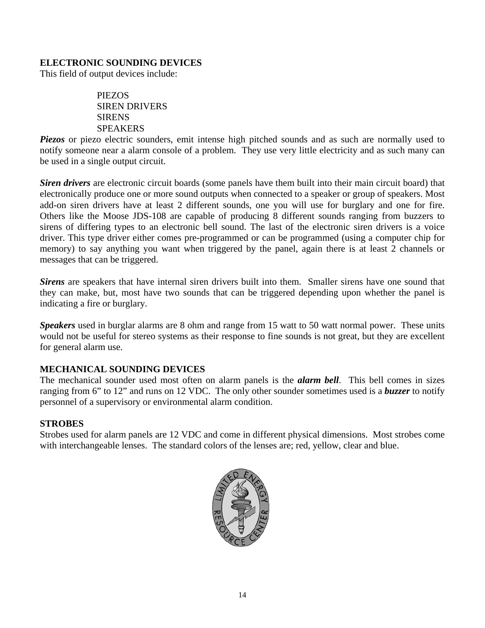### **ELECTRONIC SOUNDING DEVICES**

This field of output devices include:

 PIEZOS SIREN DRIVERS **SIRENS SPEAKERS** 

*Piezos* or piezo electric sounders, emit intense high pitched sounds and as such are normally used to notify someone near a alarm console of a problem. They use very little electricity and as such many can be used in a single output circuit.

*Siren drivers* are electronic circuit boards (some panels have them built into their main circuit board) that electronically produce one or more sound outputs when connected to a speaker or group of speakers. Most add-on siren drivers have at least 2 different sounds, one you will use for burglary and one for fire. Others like the Moose JDS-108 are capable of producing 8 different sounds ranging from buzzers to sirens of differing types to an electronic bell sound. The last of the electronic siren drivers is a voice driver. This type driver either comes pre-programmed or can be programmed (using a computer chip for memory) to say anything you want when triggered by the panel, again there is at least 2 channels or messages that can be triggered.

*Sirens* are speakers that have internal siren drivers built into them. Smaller sirens have one sound that they can make, but, most have two sounds that can be triggered depending upon whether the panel is indicating a fire or burglary.

*Speakers* used in burglar alarms are 8 ohm and range from 15 watt to 50 watt normal power. These units would not be useful for stereo systems as their response to fine sounds is not great, but they are excellent for general alarm use.

#### **MECHANICAL SOUNDING DEVICES**

The mechanical sounder used most often on alarm panels is the *alarm bell*. This bell comes in sizes ranging from 6" to 12" and runs on 12 VDC. The only other sounder sometimes used is a *buzzer* to notify personnel of a supervisory or environmental alarm condition.

#### **STROBES**

Strobes used for alarm panels are 12 VDC and come in different physical dimensions. Most strobes come with interchangeable lenses. The standard colors of the lenses are; red, yellow, clear and blue.

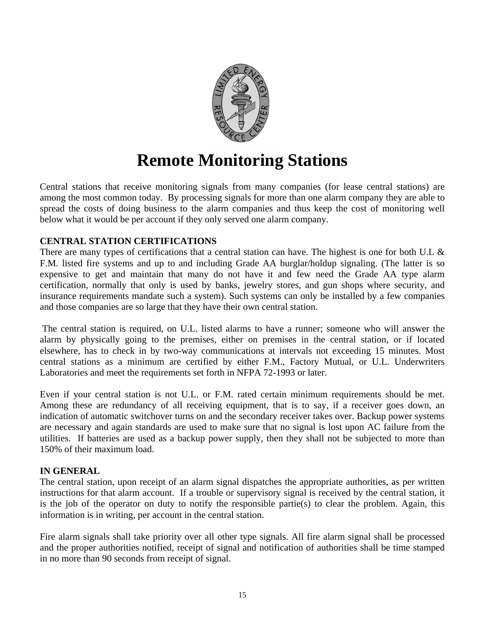

# **Remote Monitoring Stations**

Central stations that receive monitoring signals from many companies (for lease central stations) are among the most common today. By processing signals for more than one alarm company they are able to spread the costs of doing business to the alarm companies and thus keep the cost of monitoring well below what it would be per account if they only served one alarm company.

#### **CENTRAL STATION CERTIFICATIONS**

There are many types of certifications that a central station can have. The highest is one for both U.L & F.M. listed fire systems and up to and including Grade AA burglar/holdup signaling. (The latter is so expensive to get and maintain that many do not have it and few need the Grade AA type alarm certification, normally that only is used by banks, jewelry stores, and gun shops where security, and insurance requirements mandate such a system). Such systems can only be installed by a few companies and those companies are so large that they have their own central station.

 The central station is required, on U.L. listed alarms to have a runner; someone who will answer the alarm by physically going to the premises, either on premises in the central station, or if located elsewhere, has to check in by two-way communications at intervals not exceeding 15 minutes. Most central stations as a minimum are certified by either F.M., Factory Mutual, or U.L. Underwriters Laboratories and meet the requirements set forth in NFPA 72-1993 or later.

Even if your central station is not U.L. or F.M. rated certain minimum requirements should be met. Among these are redundancy of all receiving equipment, that is to say, if a receiver goes down, an indication of automatic switchover turns on and the secondary receiver takes over. Backup power systems are necessary and again standards are used to make sure that no signal is lost upon AC failure from the utilities. If batteries are used as a backup power supply, then they shall not be subjected to more than 150% of their maximum load.

### **IN GENERAL**

The central station, upon receipt of an alarm signal dispatches the appropriate authorities, as per written instructions for that alarm account. If a trouble or supervisory signal is received by the central station, it is the job of the operator on duty to notify the responsible partie(s) to clear the problem. Again, this information is in writing, per account in the central station.

Fire alarm signals shall take priority over all other type signals. All fire alarm signal shall be processed and the proper authorities notified, receipt of signal and notification of authorities shall be time stamped in no more than 90 seconds from receipt of signal.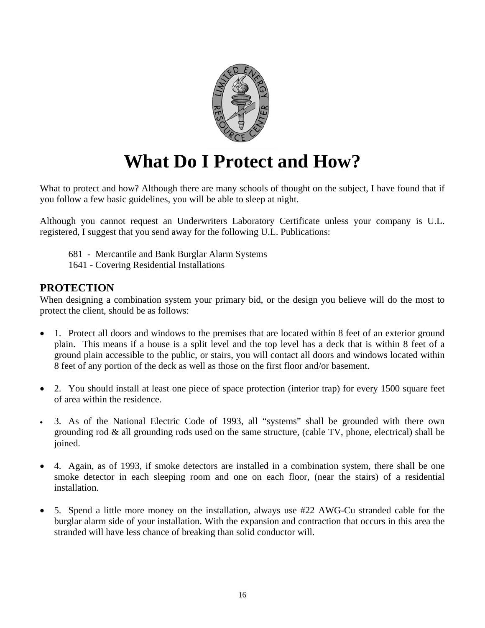

# **What Do I Protect and How?**

What to protect and how? Although there are many schools of thought on the subject, I have found that if you follow a few basic guidelines, you will be able to sleep at night.

Although you cannot request an Underwriters Laboratory Certificate unless your company is U.L. registered, I suggest that you send away for the following U.L. Publications:

681 - Mercantile and Bank Burglar Alarm Systems

1641 - Covering Residential Installations

### **PROTECTION**

When designing a combination system your primary bid, or the design you believe will do the most to protect the client, should be as follows:

- 1. Protect all doors and windows to the premises that are located within 8 feet of an exterior ground plain. This means if a house is a split level and the top level has a deck that is within 8 feet of a ground plain accessible to the public, or stairs, you will contact all doors and windows located within 8 feet of any portion of the deck as well as those on the first floor and/or basement.
- 2. You should install at least one piece of space protection (interior trap) for every 1500 square feet of area within the residence.
- 3. As of the National Electric Code of 1993, all "systems" shall be grounded with there own grounding rod & all grounding rods used on the same structure, (cable TV, phone, electrical) shall be joined.
- 4. Again, as of 1993, if smoke detectors are installed in a combination system, there shall be one smoke detector in each sleeping room and one on each floor, (near the stairs) of a residential installation.
- 5. Spend a little more money on the installation, always use #22 AWG-Cu stranded cable for the burglar alarm side of your installation. With the expansion and contraction that occurs in this area the stranded will have less chance of breaking than solid conductor will.